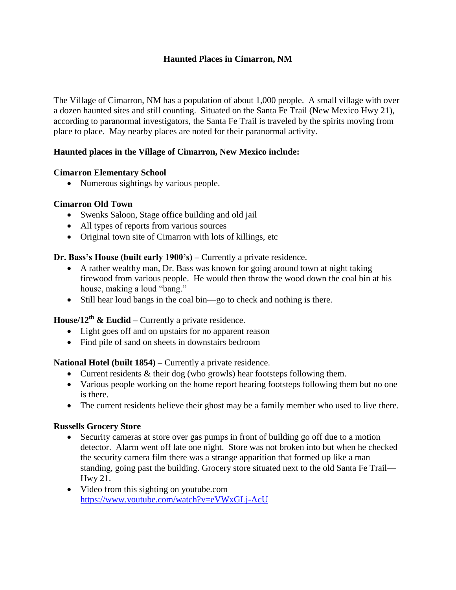# **Haunted Places in Cimarron, NM**

The Village of Cimarron, NM has a population of about 1,000 people. A small village with over a dozen haunted sites and still counting. Situated on the Santa Fe Trail (New Mexico Hwy 21), according to paranormal investigators, the Santa Fe Trail is traveled by the spirits moving from place to place. May nearby places are noted for their paranormal activity.

## **Haunted places in the Village of Cimarron, New Mexico include:**

#### **Cimarron Elementary School**

• Numerous sightings by various people.

#### **Cimarron Old Town**

- Swenks Saloon, Stage office building and old jail
- All types of reports from various sources
- Original town site of Cimarron with lots of killings, etc

#### **Dr. Bass's House (built early 1900's) –** Currently a private residence.

- A rather wealthy man, Dr. Bass was known for going around town at night taking firewood from various people. He would then throw the wood down the coal bin at his house, making a loud "bang."
- Still hear loud bangs in the coal bin—go to check and nothing is there.

# **House/12th & Euclid –** Currently a private residence.

- Light goes off and on upstairs for no apparent reason
- Find pile of sand on sheets in downstairs bedroom

## **National Hotel (built 1854) –** Currently a private residence.

- Current residents & their dog (who growls) hear footsteps following them.
- Various people working on the home report hearing footsteps following them but no one is there.
- The current residents believe their ghost may be a family member who used to live there.

#### **Russells Grocery Store**

- Security cameras at store over gas pumps in front of building go off due to a motion detector. Alarm went off late one night. Store was not broken into but when he checked the security camera film there was a strange apparition that formed up like a man standing, going past the building. Grocery store situated next to the old Santa Fe Trail— Hwy 21.
- Video from this sighting on youtube.com <https://www.youtube.com/watch?v=eVWxGLj-AcU>